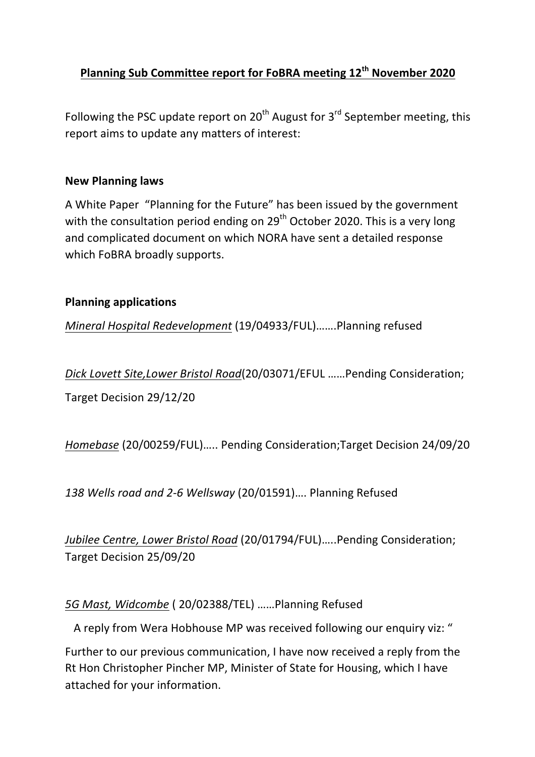# **Planning Sub Committee report for FoBRA meeting 12<sup>th</sup> November 2020**

Following the PSC update report on  $20<sup>th</sup>$  August for 3<sup>rd</sup> September meeting, this report aims to update any matters of interest:

#### **New Planning laws**

A White Paper "Planning for the Future" has been issued by the government with the consultation period ending on  $29<sup>th</sup>$  October 2020. This is a very long and complicated document on which NORA have sent a detailed response which FoBRA broadly supports.

#### **Planning applications**

*Mineral Hospital Redevelopment* (19/04933/FUL).......Planning refused

*Dick Lovett Site,Lower Bristol Road*(20/03071/EFUL ......Pending Consideration;

Target Decision 29/12/20

*Homebase* (20/00259/FUL)..... Pending Consideration;Target Decision 24/09/20

138 Wells road and 2-6 Wellsway (20/01591).... Planning Refused

Jubilee Centre, Lower Bristol Road (20/01794/FUL).....Pending Consideration; Target Decision 25/09/20

#### 5G Mast, Widcombe (20/02388/TEL) ......Planning Refused

A reply from Wera Hobhouse MP was received following our enquiry viz: "

Further to our previous communication, I have now received a reply from the Rt Hon Christopher Pincher MP, Minister of State for Housing, which I have attached for your information.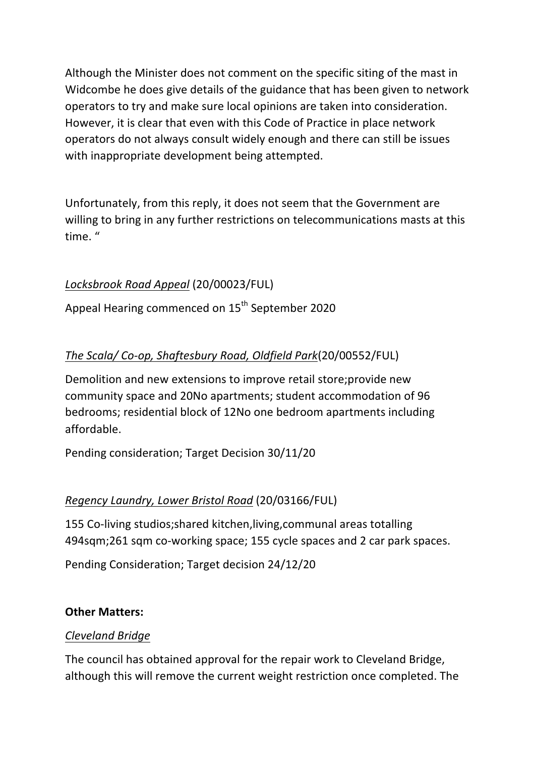Although the Minister does not comment on the specific siting of the mast in Widcombe he does give details of the guidance that has been given to network operators to try and make sure local opinions are taken into consideration. However, it is clear that even with this Code of Practice in place network operators do not always consult widely enough and there can still be issues with inappropriate development being attempted.

Unfortunately, from this reply, it does not seem that the Government are willing to bring in any further restrictions on telecommunications masts at this time."

# *Locksbrook Road Appeal* (20/00023/FUL)

Appeal Hearing commenced on 15<sup>th</sup> September 2020

# *The Scala/ Co-op, Shaftesbury Road, Oldfield Park*(20/00552/FUL)

Demolition and new extensions to improve retail store; provide new community space and 20No apartments; student accommodation of 96 bedrooms; residential block of 12No one bedroom apartments including affordable.

Pending consideration; Target Decision 30/11/20

## *Regency Laundry, Lower Bristol Road* (20/03166/FUL)

155 Co-living studios; shared kitchen, living, communal areas totalling 494sqm;261 sqm co-working space; 155 cycle spaces and 2 car park spaces.

Pending Consideration; Target decision 24/12/20

### **Other Matters:**

### *Cleveland Bridge*

The council has obtained approval for the repair work to Cleveland Bridge, although this will remove the current weight restriction once completed. The